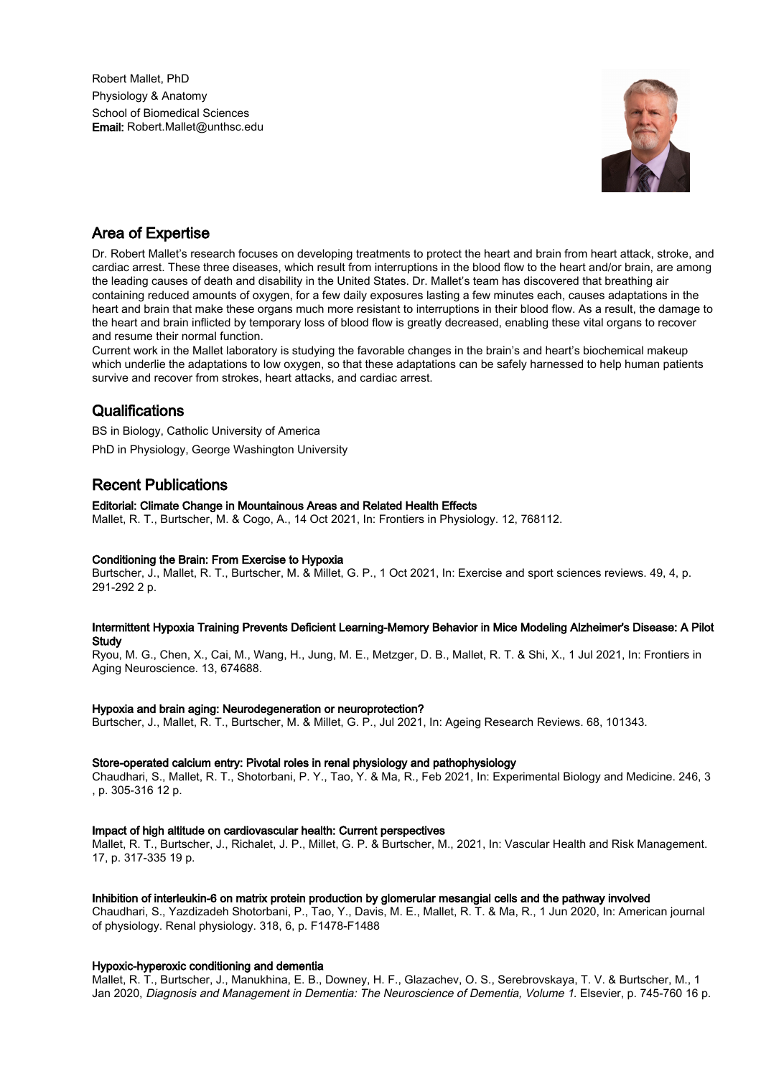Robert Mallet, PhD Physiology & Anatomy School of Biomedical Sciences Email: Robert.Mallet@unthsc.edu



## Area of Expertise

Dr. Robert Mallet's research focuses on developing treatments to protect the heart and brain from heart attack, stroke, and cardiac arrest. These three diseases, which result from interruptions in the blood flow to the heart and/or brain, are among the leading causes of death and disability in the United States. Dr. Mallet's team has discovered that breathing air containing reduced amounts of oxygen, for a few daily exposures lasting a few minutes each, causes adaptations in the heart and brain that make these organs much more resistant to interruptions in their blood flow. As a result, the damage to the heart and brain inflicted by temporary loss of blood flow is greatly decreased, enabling these vital organs to recover and resume their normal function.

Current work in the Mallet laboratory is studying the favorable changes in the brain's and heart's biochemical makeup which underlie the adaptations to low oxygen, so that these adaptations can be safely harnessed to help human patients survive and recover from strokes, heart attacks, and cardiac arrest.

## **Qualifications**

BS in Biology, Catholic University of America PhD in Physiology, George Washington University

# Recent Publications

#### Editorial: Climate Change in Mountainous Areas and Related Health Effects

Mallet, R. T., Burtscher, M. & Cogo, A., 14 Oct 2021, In: Frontiers in Physiology. 12, 768112.

#### Conditioning the Brain: From Exercise to Hypoxia

Burtscher, J., Mallet, R. T., Burtscher, M. & Millet, G. P., 1 Oct 2021, In: Exercise and sport sciences reviews. 49, 4, p. 291-292 2 p.

#### Intermittent Hypoxia Training Prevents Deficient Learning-Memory Behavior in Mice Modeling Alzheimer's Disease: A Pilot **Study**

Ryou, M. G., Chen, X., Cai, M., Wang, H., Jung, M. E., Metzger, D. B., Mallet, R. T. & Shi, X., 1 Jul 2021, In: Frontiers in Aging Neuroscience. 13, 674688.

#### Hypoxia and brain aging: Neurodegeneration or neuroprotection?

Burtscher, J., Mallet, R. T., Burtscher, M. & Millet, G. P., Jul 2021, In: Ageing Research Reviews. 68, 101343.

#### Store-operated calcium entry: Pivotal roles in renal physiology and pathophysiology

Chaudhari, S., Mallet, R. T., Shotorbani, P. Y., Tao, Y. & Ma, R., Feb 2021, In: Experimental Biology and Medicine. 246, 3 , p. 305-316 12 p.

#### Impact of high altitude on cardiovascular health: Current perspectives

Mallet, R. T., Burtscher, J., Richalet, J. P., Millet, G. P. & Burtscher, M., 2021, In: Vascular Health and Risk Management. 17, p. 317-335 19 p.

#### Inhibition of interleukin-6 on matrix protein production by glomerular mesangial cells and the pathway involved

Chaudhari, S., Yazdizadeh Shotorbani, P., Tao, Y., Davis, M. E., Mallet, R. T. & Ma, R., 1 Jun 2020, In: American journal of physiology. Renal physiology. 318, 6, p. F1478-F1488

#### Hypoxic-hyperoxic conditioning and dementia

Mallet, R. T., Burtscher, J., Manukhina, E. B., Downey, H. F., Glazachev, O. S., Serebrovskaya, T. V. & Burtscher, M., 1 Jan 2020, Diagnosis and Management in Dementia: The Neuroscience of Dementia, Volume 1. Elsevier, p. 745-760 16 p.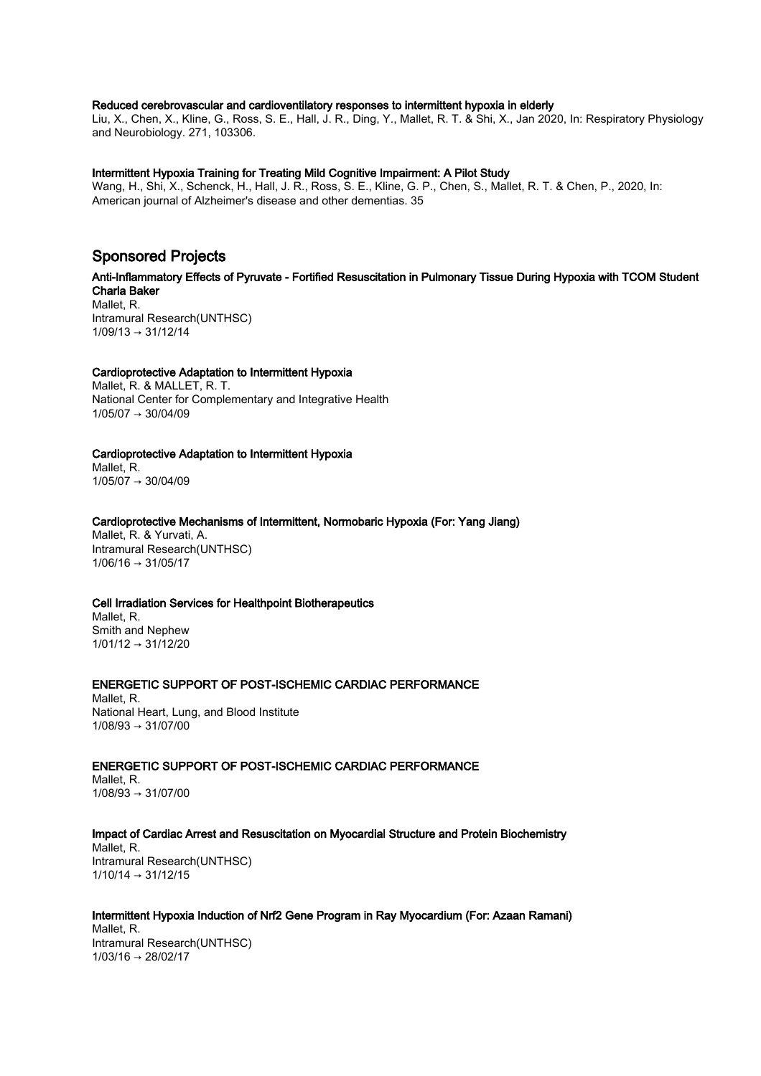#### Reduced cerebrovascular and cardioventilatory responses to intermittent hypoxia in elderly

Liu, X., Chen, X., Kline, G., Ross, S. E., Hall, J. R., Ding, Y., Mallet, R. T. & Shi, X., Jan 2020, In: Respiratory Physiology and Neurobiology. 271, 103306.

#### Intermittent Hypoxia Training for Treating Mild Cognitive Impairment: A Pilot Study

Wang, H., Shi, X., Schenck, H., Hall, J. R., Ross, S. E., Kline, G. P., Chen, S., Mallet, R. T. & Chen, P., 2020, In: American journal of Alzheimer's disease and other dementias. 35

## Sponsored Projects

Anti-Inflammatory Effects of Pyruvate - Fortified Resuscitation in Pulmonary Tissue During Hypoxia with TCOM Student Charla Baker Mallet, R. Intramural Research(UNTHSC)  $1/09/13 \rightarrow 31/12/14$ 

#### Cardioprotective Adaptation to Intermittent Hypoxia

Mallet, R. & MALLET, R. T. National Center for Complementary and Integrative Health  $1/05/07 \rightarrow 30/04/09$ 

Cardioprotective Adaptation to Intermittent Hypoxia Mallet, R. 1/05/07 → 30/04/09

Cardioprotective Mechanisms of Intermittent, Normobaric Hypoxia (For: Yang Jiang)

Mallet, R. & Yurvati, A. Intramural Research(UNTHSC) 1/06/16 → 31/05/17

#### Cell Irradiation Services for Healthpoint Biotherapeutics

Mallet, R. Smith and Nephew 1/01/12 → 31/12/20

ENERGETIC SUPPORT OF POST-ISCHEMIC CARDIAC PERFORMANCE

Mallet, R. National Heart, Lung, and Blood Institute 1/08/93 → 31/07/00

ENERGETIC SUPPORT OF POST-ISCHEMIC CARDIAC PERFORMANCE Mallet, R.  $1/08/93 \rightarrow 31/07/00$ 

Impact of Cardiac Arrest and Resuscitation on Myocardial Structure and Protein Biochemistry Mallet, R. Intramural Research(UNTHSC) 1/10/14 → 31/12/15

Intermittent Hypoxia Induction of Nrf2 Gene Program in Ray Myocardium (For: Azaan Ramani) Mallet, R. Intramural Research(UNTHSC) 1/03/16 → 28/02/17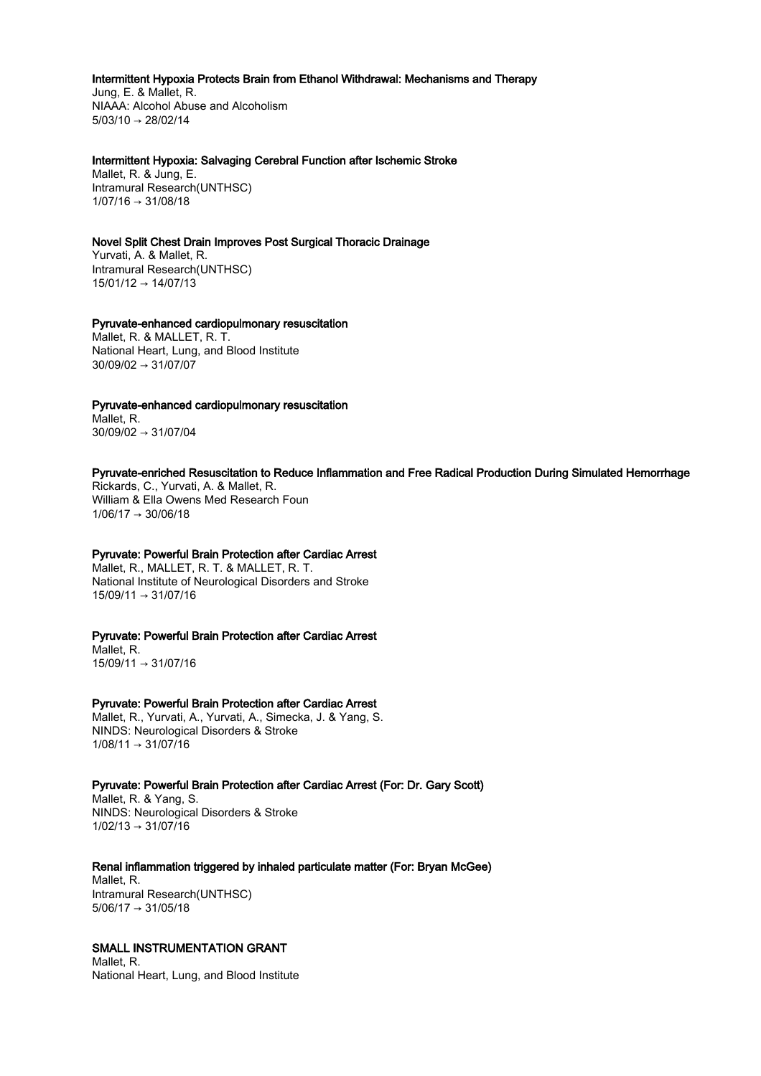#### Intermittent Hypoxia Protects Brain from Ethanol Withdrawal: Mechanisms and Therapy

Jung, E. & Mallet, R. NIAAA: Alcohol Abuse and Alcoholism 5/03/10 → 28/02/14

#### Intermittent Hypoxia: Salvaging Cerebral Function after Ischemic Stroke

Mallet, R. & Jung, E. Intramural Research(UNTHSC) 1/07/16 → 31/08/18

#### Novel Split Chest Drain Improves Post Surgical Thoracic Drainage

Yurvati, A. & Mallet, R. Intramural Research(UNTHSC) 15/01/12 → 14/07/13

#### Pyruvate-enhanced cardiopulmonary resuscitation

Mallet, R. & MALLET, R. T. National Heart, Lung, and Blood Institute 30/09/02 → 31/07/07

#### Pyruvate-enhanced cardiopulmonary resuscitation

Mallet, R. 30/09/02 → 31/07/04

#### Pyruvate-enriched Resuscitation to Reduce Inflammation and Free Radical Production During Simulated Hemorrhage

Rickards, C., Yurvati, A. & Mallet, R. William & Ella Owens Med Research Foun  $1/06/17 \rightarrow 30/06/18$ 

#### Pyruvate: Powerful Brain Protection after Cardiac Arrest

Mallet, R., MALLET, R. T. & MALLET, R. T. National Institute of Neurological Disorders and Stroke 15/09/11 → 31/07/16

#### Pyruvate: Powerful Brain Protection after Cardiac Arrest

Mallet, R. 15/09/11 → 31/07/16

#### Pyruvate: Powerful Brain Protection after Cardiac Arrest

Mallet, R., Yurvati, A., Yurvati, A., Simecka, J. & Yang, S. NINDS: Neurological Disorders & Stroke  $1/08/11 \rightarrow 31/07/16$ 

#### Pyruvate: Powerful Brain Protection after Cardiac Arrest (For: Dr. Gary Scott)

Mallet, R. & Yang, S. NINDS: Neurological Disorders & Stroke  $1/02/13 \rightarrow 31/07/16$ 

#### Renal inflammation triggered by inhaled particulate matter (For: Bryan McGee)

Mallet, R. Intramural Research(UNTHSC)  $5/06/17 \rightarrow 31/05/18$ 

### SMALL INSTRUMENTATION GRANT

Mallet, R. National Heart, Lung, and Blood Institute